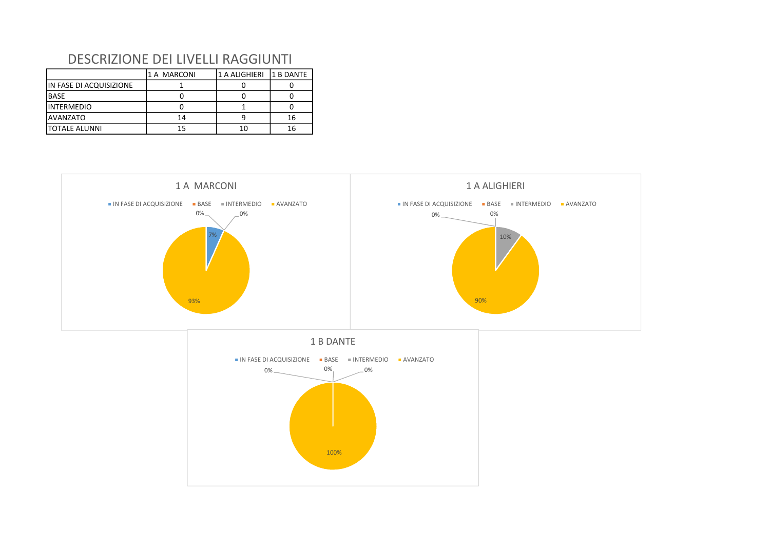|                         | 1 A MARCONI | 1 A ALIGHIERI | l1 B DANTE |
|-------------------------|-------------|---------------|------------|
| IN FASE DI ACQUISIZIONE |             |               |            |
| <b>BASE</b>             |             |               |            |
| IINTERMEDIO             |             |               |            |
| <b>AVANZATO</b>         | 14          |               | 16         |
| <b>ITOTALE ALUNNI</b>   | 15          | 10            | 16         |

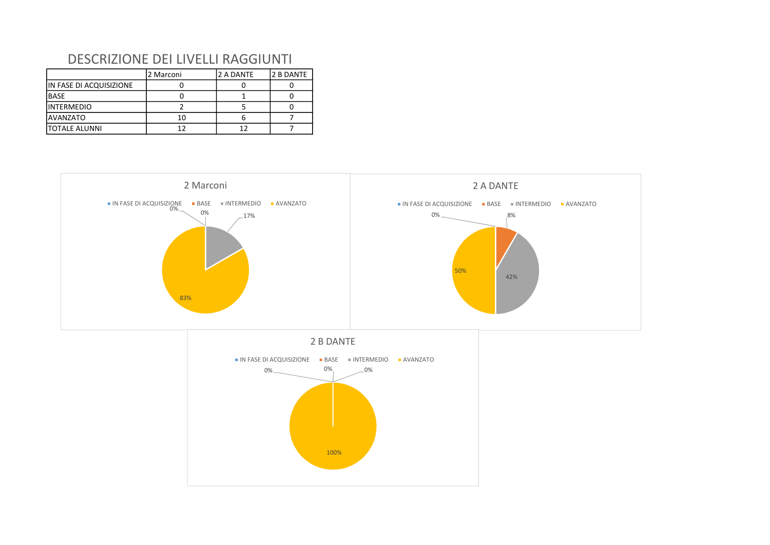|                         | 2 Marconi | 2 A DANTE | 2 B DANTE |
|-------------------------|-----------|-----------|-----------|
| IN FASE DI ACQUISIZIONE |           |           |           |
| <b>BASE</b>             |           |           |           |
| IINTERMEDIO             |           |           |           |
| <b>AVANZATO</b>         | 10        |           |           |
| <b>ITOTALE ALUNNI</b>   | 12        |           |           |

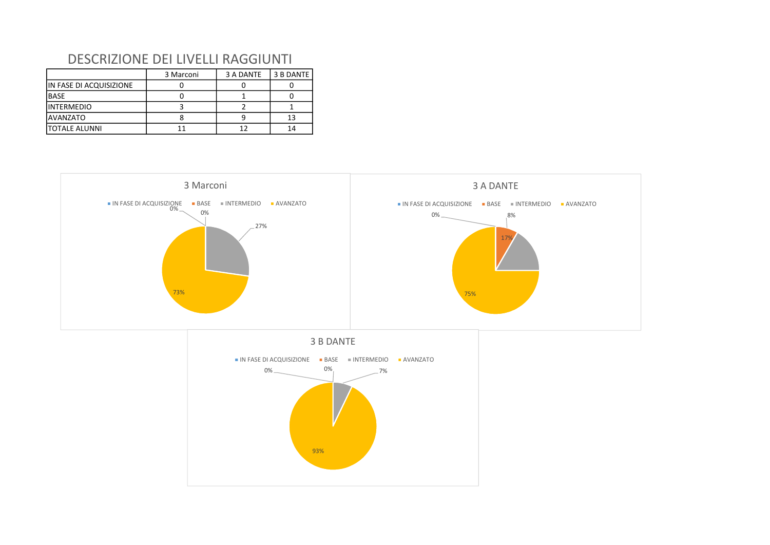|                         | 3 Marconi | 3 A DANTE | 3 B DANTE |
|-------------------------|-----------|-----------|-----------|
| IN FASE DI ACQUISIZIONE |           |           |           |
| <b>BASE</b>             |           |           |           |
| <b>INTERMEDIO</b>       |           |           |           |
| <b>AVANZATO</b>         |           |           |           |
| <b>ITOTALE ALUNNI</b>   |           |           |           |

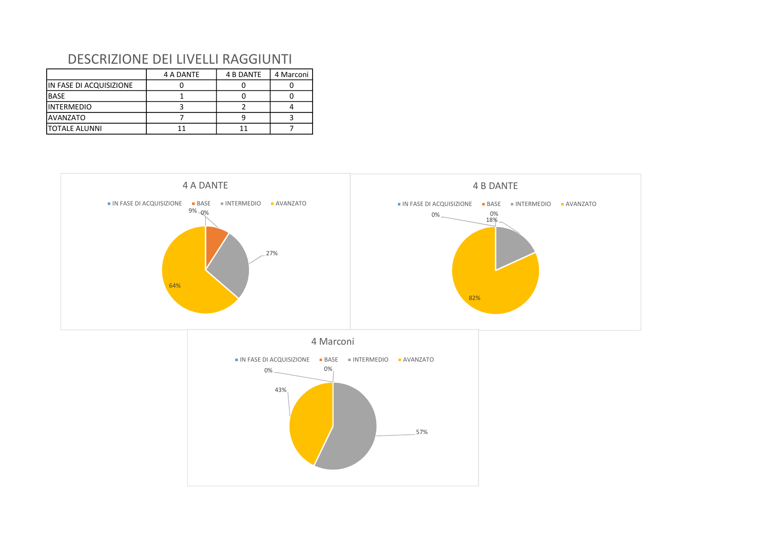|                         | 4 A DANTE | 4 B DANTE | 4 Marconi |
|-------------------------|-----------|-----------|-----------|
| IN FASE DI ACQUISIZIONE |           |           |           |
| <b>BASE</b>             |           |           |           |
| <b>INTERMEDIO</b>       |           |           |           |
| <b>AVANZATO</b>         |           |           |           |
| <b>ITOTALE ALUNNI</b>   |           |           |           |